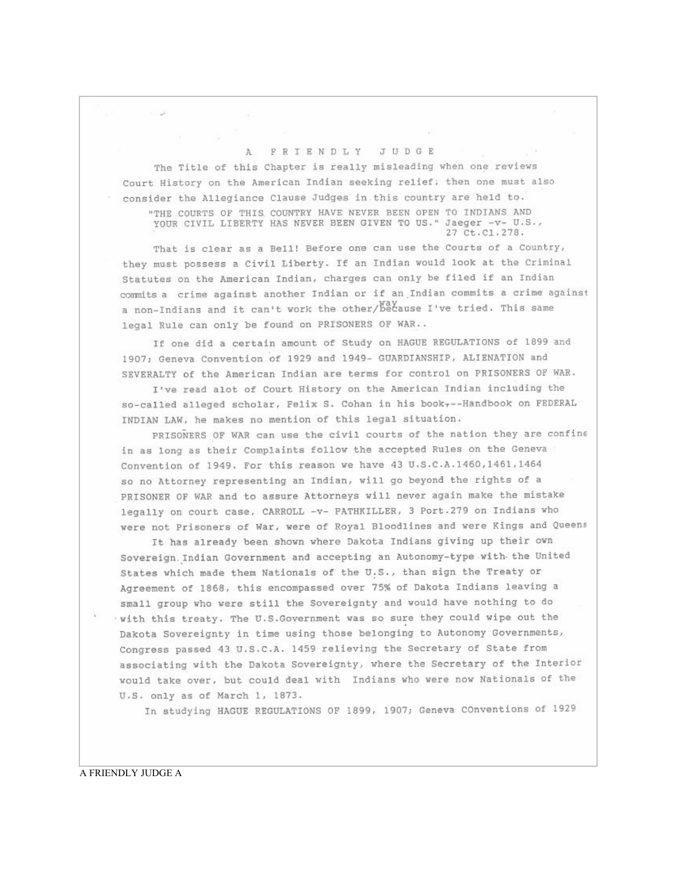## A FRIENDLY JUDGE

The Title of this Chapter is really misleading when one reviews Court History on the American Indian seeking relief; then one must also consider the Allegiance Clause Judges in this country are held to. "THE COURTS OF THIS COUNTRY HAVE NEVER BEEN OPEN TO INDIANS AND YOUR CIVIL LIBERTY HAS NEVER BEEN GIVEN TO US." Jaeger -v- U.S., 27 Ct.Cl.278.

That is clear as a Bell! Before one can use the Courts of a Country, they must possess a Civil Liberty. If an Indian would look at the Criminal Statutes on the American Indian, charges can only be filed if an Indian commits a crime against another Indian or if an Indian commits a crime against a non-Indians and it can't work the other/because I've tried. This same legal Rule can only be found on PRISONERS OF WAR..

If one did a certain amount of Study on HAGUE REGULATIONS of 1899 and 1907; Geneva Convention of 1929 and 1949- GUARDIANSHIP, ALIENATION and SEVERALTY of the American Indian are terms for control on PRISONERS OF WAR.

I've read alot of Court History on the American Indian including the so-called alleged scholar, Felix S. Cohan in his book -- Handbook on FEDERAL INDIAN LAW, he makes no mention of this legal situation.

PRISONERS OF WAR can use the civil courts of the nation they are confine in as long as their Complaints follow the accepted Rules on the Geneva Convention of 1949. For this reason we have 43 U.S.C.A.1460,1461,1464 so no Attorney representing an Indian, will go beyond the rights of a PRISONER OF WAR and to assure Attorneys will never again make the mistake legally on court case, CARROLL -v- PATHKILLER, 3 Port.279 on Indians who were not Prisoners of War, were of Royal Bloodlines and were Kings and Queens

It has already been shown where Dakota Indians giving up their own Sovereign. Indian Government and accepting an Autonomy-type with the United States which made them Nationals of the U.S., than sign the Treaty or Agreement of 1868, this encompassed over 75% of Dakota Indians leaving a small group who were still the Sovereignty and would have nothing to do with this treaty. The U.S.Government was so sure they could wipe out the Dakota Sovereignty in time using those belonging to Autonomy Governments, Congress passed 43 U.S.C.A. 1459 relieving the Secretary of State from associating with the Dakota Sovereignty, where the Secretary of the Interior would take over, but could deal with Indians who were now Nationals of the U.S. only as of March 1, 1873.

In studying HAGUE REGULATIONS OF 1899, 1907; Geneva COnventions of 1929

A FRIENDLY JUDGE A